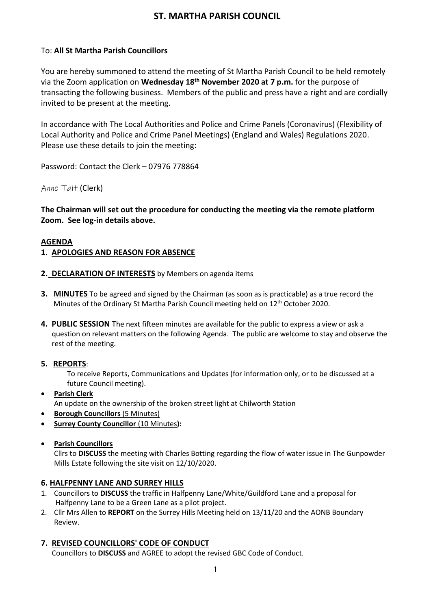## To: **All St Martha Parish Councillors**

You are hereby summoned to attend the meeting of St Martha Parish Council to be held remotely via the Zoom application on **Wednesday 18th November 2020 at 7 p.m.** for the purpose of transacting the following business. Members of the public and press have a right and are cordially invited to be present at the meeting.

In accordance with The Local Authorities and Police and Crime Panels (Coronavirus) (Flexibility of Local Authority and Police and Crime Panel Meetings) (England and Wales) Regulations 2020. Please use these details to join the meeting:

Password: Contact the Clerk – 07976 778864

Anne Tait (Clerk)

**The Chairman will set out the procedure for conducting the meeting via the remote platform Zoom. See log-in details above.**

### **AGENDA**

### **1**. **APOLOGIES AND REASON FOR ABSENCE**

- **2. DECLARATION OF INTERESTS** by Members on agenda items
- **3. MINUTES** To be agreed and signed by the Chairman (as soon as is practicable) as a true record the Minutes of the Ordinary St Martha Parish Council meeting held on 12<sup>th</sup> October 2020.
- **4. PUBLIC SESSION** The next fifteen minutes are available for the public to express a view or ask a question on relevant matters on the following Agenda. The public are welcome to stay and observe the rest of the meeting.
- **5. REPORTS**:

To receive Reports, Communications and Updates (for information only, or to be discussed at a future Council meeting).

- **Parish Clerk** An update on the ownership of the broken street light at Chilworth Station
- **Borough Councillors** (5 Minutes)
- **Surrey County Councillor** (10 Minutes**):**
- **Parish Councillors**

Cllrs to **DISCUSS** the meeting with Charles Botting regarding the flow of water issue in The Gunpowder Mills Estate following the site visit on 12/10/2020.

#### **6. HALFPENNY LANE AND SURREY HILLS**

- 1. Councillors to **DISCUSS** the traffic in Halfpenny Lane/White/Guildford Lane and a proposal for Halfpenny Lane to be a Green Lane as a pilot project.
- 2. Cllr Mrs Allen to **REPORT** on the Surrey Hills Meeting held on 13/11/20 and the AONB Boundary Review.

## **7. REVISED COUNCILLORS' CODE OF CONDUCT**

Councillors to **DISCUSS** and AGREE to adopt the revised GBC Code of Conduct.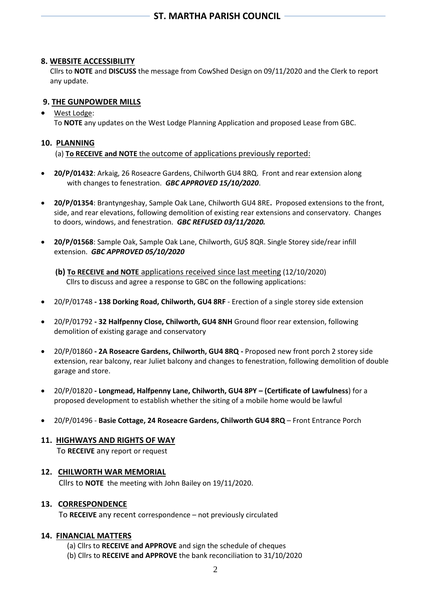## **8. WEBSITE ACCESSIBILITY**

 Cllrs to **NOTE** and **DISCUSS** the message from CowShed Design on 09/11/2020 and the Clerk to report any update.

## **9. THE GUNPOWDER MILLS**

# • West Lodge:

To **NOTE** any updates on the West Lodge Planning Application and proposed Lease from GBC.

### **10. PLANNING**

(a) **To RECEIVE and NOTE** the outcome of applications previously reported:

- **20/P/01432**: Arkaig, 26 Roseacre Gardens, Chilworth GU4 8RQ. Front and rear extension along with changes to fenestration. *GBC APPROVED 15/10/2020*.
- **20/P/01354**: Brantyngeshay, Sample Oak Lane, Chilworth GU4 8RE**.** Proposed extensions to the front, side, and rear elevations, following demolition of existing rear extensions and conservatory. Changes to doors, windows, and fenestration. *GBC REFUSED 03/11/2020.*
- **20/P/01568**: Sample Oak, Sample Oak Lane, Chilworth, GU\$ 8QR. Single Storey side/rear infill extension. *GBC APPROVED 05/10/2020*
	- **(b) To RECEIVE and NOTE** applications received since last meeting (12/10/2020) Cllrs to discuss and agree a response to GBC on the following applications:
- 20/P/01748 **- 138 Dorking Road, Chilworth, GU4 8RF** Erection of a single storey side extension
- 20/P/01792 **- 32 Halfpenny Close, Chilworth, GU4 8NH** Ground floor rear extension, following demolition of existing garage and conservatory
- 20/P/01860 **- 2A Roseacre Gardens, Chilworth, GU4 8RQ -** Proposed new front porch 2 storey side extension, rear balcony, rear Juliet balcony and changes to fenestration, following demolition of double garage and store.
- 20/P/01820 **- Longmead, Halfpenny Lane, Chilworth, GU4 8PY – (Certificate of Lawfulness**) for a proposed development to establish whether the siting of a mobile home would be lawful
- 20/P/01496 **Basie Cottage, 24 Roseacre Gardens, Chilworth GU4 8RQ** Front Entrance Porch

# **11. HIGHWAYS AND RIGHTS OF WAY**

To **RECEIVE** any report or request

## **12. CHILWORTH WAR MEMORIAL**

Cllrs to **NOTE** the meeting with John Bailey on 19/11/2020.

#### **13. CORRESPONDENCE**

To **RECEIVE** any recent correspondence – not previously circulated

#### **14. FINANCIAL MATTERS**

- (a) Cllrs to **RECEIVE and APPROVE** and sign the schedule of cheques
- (b) Cllrs to **RECEIVE and APPROVE** the bank reconciliation to 31/10/2020